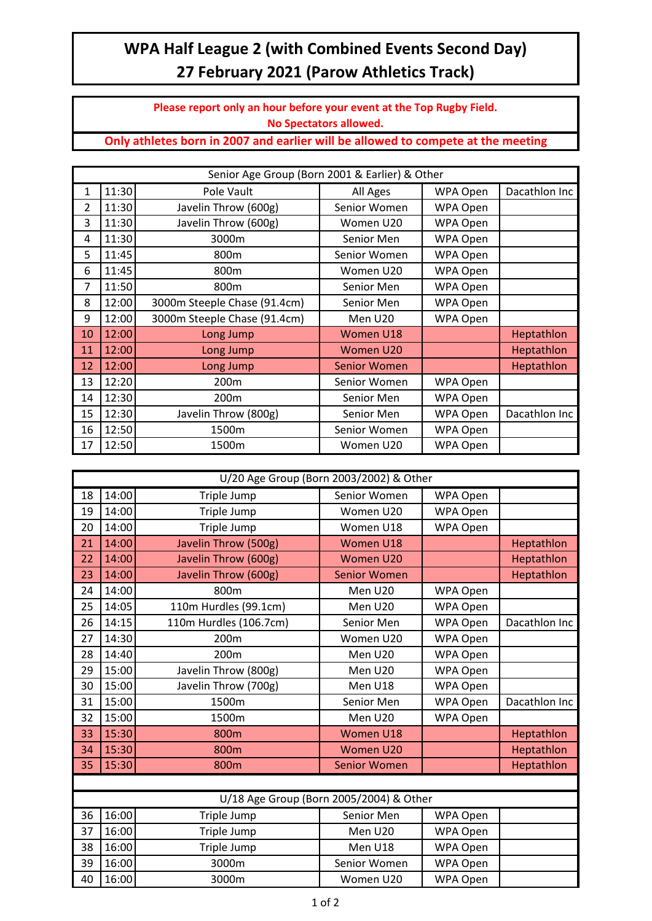## **WPA Half League 2 (with Combined Events Second Day) 27 February 2021 (Parow Athletics Track)**

**Please report only an hour before your event at the Top Rugby Field. No Spectators allowed.**

**Only athletes born in 2007 and earlier will be allowed to compete at the meeting**

| Senior Age Group (Born 2001 & Earlier) & Other |       |                              |                     |          |               |
|------------------------------------------------|-------|------------------------------|---------------------|----------|---------------|
| $\mathbf{1}$                                   | 11:30 | Pole Vault                   | All Ages            | WPA Open | Dacathlon Inc |
| 2                                              | 11:30 | Javelin Throw (600g)         | Senior Women        | WPA Open |               |
| 3                                              | 11:30 | Javelin Throw (600g)         | Women U20           | WPA Open |               |
| 4                                              | 11:30 | 3000m                        | Senior Men          | WPA Open |               |
| 5                                              | 11:45 | 800m                         | Senior Women        | WPA Open |               |
| 6                                              | 11:45 | 800m                         | Women U20           | WPA Open |               |
| 7                                              | 11:50 | 800m                         | Senior Men          | WPA Open |               |
| 8                                              | 12:00 | 3000m Steeple Chase (91.4cm) | Senior Men          | WPA Open |               |
| 9                                              | 12:00 | 3000m Steeple Chase (91.4cm) | Men U20             | WPA Open |               |
| 10                                             | 12:00 | Long Jump                    | Women U18           |          | Heptathlon    |
| 11                                             | 12:00 | Long Jump                    | Women U20           |          | Heptathlon    |
| 12                                             | 12:00 | Long Jump                    | <b>Senior Women</b> |          | Heptathlon    |
| 13                                             | 12:20 | 200m                         | Senior Women        | WPA Open |               |
| 14                                             | 12:30 | 200m                         | Senior Men          | WPA Open |               |
| 15                                             | 12:30 | Javelin Throw (800g)         | Senior Men          | WPA Open | Dacathlon Inc |
| 16                                             | 12:50 | 1500m                        | Senior Women        | WPA Open |               |
| 17                                             | 12:50 | 1500m                        | Women U20           | WPA Open |               |

| U/20 Age Group (Born 2003/2002) & Other |       |                        |                     |          |               |
|-----------------------------------------|-------|------------------------|---------------------|----------|---------------|
| 18                                      | 14:00 | Triple Jump            | Senior Women        | WPA Open |               |
| 19                                      | 14:00 | Triple Jump            | Women U20           | WPA Open |               |
| 20                                      | 14:00 | Triple Jump            | Women U18           | WPA Open |               |
| 21                                      | 14:00 | Javelin Throw (500g)   | Women U18           |          | Heptathlon    |
| 22                                      | 14:00 | Javelin Throw (600g)   | Women U20           |          | Heptathlon    |
| 23                                      | 14:00 | Javelin Throw (600g)   | <b>Senior Women</b> |          | Heptathlon    |
| 24                                      | 14:00 | 800m                   | Men U20             | WPA Open |               |
| 25                                      | 14:05 | 110m Hurdles (99.1cm)  | Men U20             | WPA Open |               |
| 26                                      | 14:15 | 110m Hurdles (106.7cm) | Senior Men          | WPA Open | Dacathlon Inc |
| 27                                      | 14:30 | 200m                   | Women U20           | WPA Open |               |
| 28                                      | 14:40 | 200m                   | Men U20             | WPA Open |               |
| 29                                      | 15:00 | Javelin Throw (800g)   | Men U20             | WPA Open |               |
| 30                                      | 15:00 | Javelin Throw (700g)   | Men U18             | WPA Open |               |
| 31                                      | 15:00 | 1500m                  | Senior Men          | WPA Open | Dacathlon Inc |
| 32                                      | 15:00 | 1500m                  | Men U20             | WPA Open |               |
| 33                                      | 15:30 | 800m                   | Women U18           |          | Heptathlon    |
| 34                                      | 15:30 | 800m                   | Women U20           |          | Heptathlon    |
| 35                                      | 15:30 | 800m                   | <b>Senior Women</b> |          | Heptathlon    |
|                                         |       |                        |                     |          |               |
| U/18 Age Group (Born 2005/2004) & Other |       |                        |                     |          |               |
| 36                                      | 16:00 | Triple Jump            | Senior Men          | WPA Open |               |
| 37                                      | 16:00 | Triple Jump            | Men U20             | WPA Open |               |
| 38                                      | 16:00 | Triple Jump            | Men U18             | WPA Open |               |

39 | 16:00 | 3000m | Senior Women | WPA Open 16:00 3000m Women U20 WPA Open